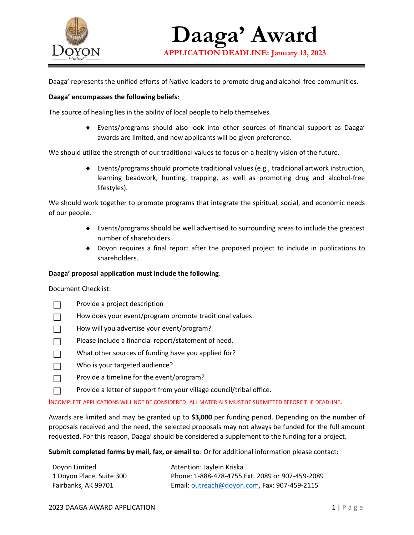

**Daaga' Award APPLICATION DEADLINE: January 13, 2023**

Daaga' represents the unified efforts of Native leaders to promote drug and alcohol-free communities.

## **Daaga' encompasses the following beliefs**:

The source of healing lies in the ability of local people to help themselves.

 Events/programs should also look into other sources of financial support as Daaga' awards are limited, and new applicants will be given preference.

We should utilize the strength of our traditional values to focus on a healthy vision of the future.

 Events/programs should promote traditional values (e.g., traditional artwork instruction, learning beadwork, hunting, trapping, as well as promoting drug and alcohol-free lifestyles).

We should work together to promote programs that integrate the spiritual, social, and economic needs of our people.

- Events/programs should be well advertised to surrounding areas to include the greatest number of shareholders.
- Doyon requires a final report after the proposed project to include in publications to shareholders.

## **Daaga' proposal application must include the following**.

Document Checklist:

- Provide a project description
- How does your event/program promote traditional values
- How will you advertise your event/program?
- $\square$  Please include a financial report/statement of need.
- What other sources of funding have you applied for?
- $\Box$  Who is your targeted audience?
- $\Box$  Provide a timeline for the event/program?
- $\Box$  Provide a letter of support from your village council/tribal office.

INCOMPLETE APPLICATIONS WILL NOT BE CONSIDERED, ALL MATERIALS MUST BE SUBMITTED BEFORE THE DEADLINE.

Awards are limited and may be granted up to **\$3,000** per funding period. Depending on the number of proposals received and the need, the selected proposals may not always be funded for the full amount requested. For this reason, Daaga' should be considered a supplement to the funding for a project.

**Submit completed forms by mail, fax, or email to**: Or for additional information please contact:

| Dovon Limited            | Attention: Jaylein Kriska                       |
|--------------------------|-------------------------------------------------|
| 1 Doyon Place, Suite 300 | Phone: 1-888-478-4755 Ext. 2089 or 907-459-2089 |
| Fairbanks, AK 99701      | Email: outreach@doyon.com, Fax: 907-459-2115    |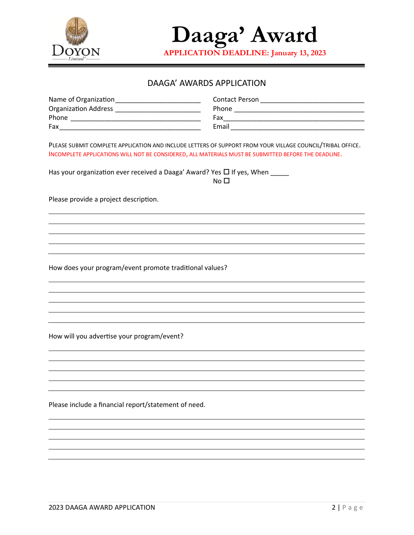

**Daaga' Award**

**APPLICATION DEADLINE: January 13, 2023**

## DAAGA' AWARDS APPLICATION

| Name of Organization        | Contact Person |
|-----------------------------|----------------|
| <b>Organization Address</b> | Phone          |
| Phone                       | Fax            |
| Fax                         | Email          |

PLEASE SUBMIT COMPLETE APPLICATION AND INCLUDE LETTERS OF SUPPORT FROM YOUR VILLAGE COUNCIL/TRIBAL OFFICE. INCOMPLETE APPLICATIONS WILL NOT BE CONSIDERED, ALL MATERIALS MUST BE SUBMITTED BEFORE THE DEADLINE.

Has your organization ever received a Daaga' Award? Yes  $\Box$  If yes, When  $\_\_$ 

 $No<sub>1</sub>$ 

Please provide a project description.

How does your program/event promote traditional values?

How will you advertise your program/event?

Please include a financial report/statement of need.